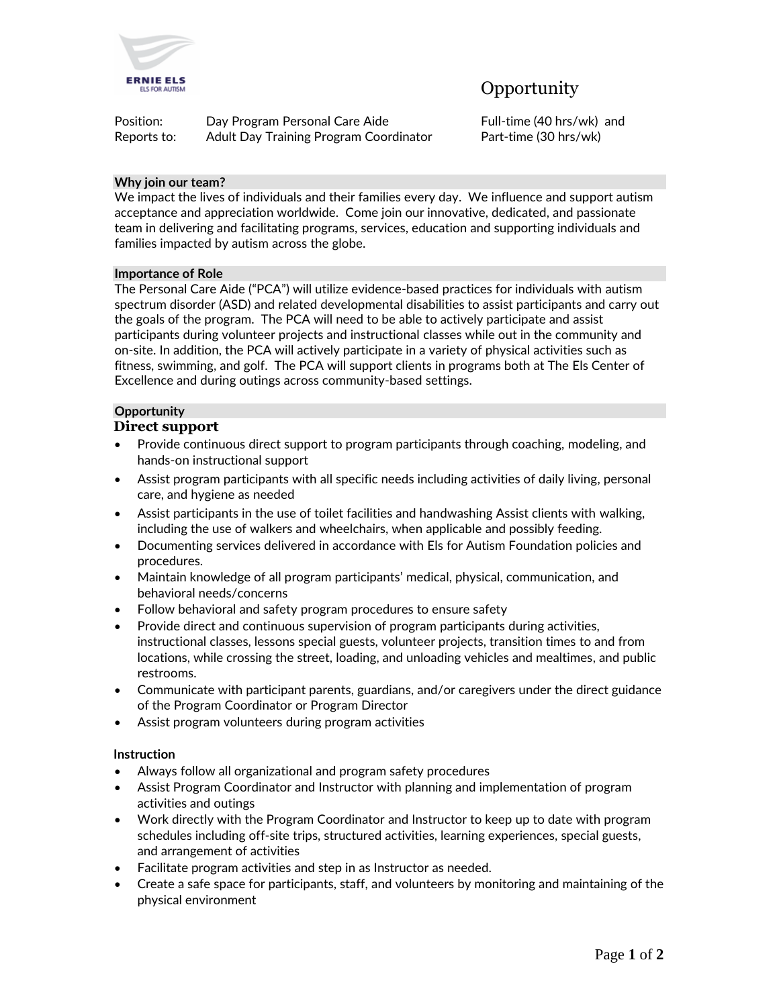

# **Opportunity**

| Position:   | Day Program Personal Care Aide         |
|-------------|----------------------------------------|
| Reports to: | Adult Day Training Program Coordinator |

Full-time (40 hrs/wk) and Part-time (30 hrs/wk)

# **Why join our team?**

We impact the lives of individuals and their families every day. We influence and support autism acceptance and appreciation worldwide. Come join our innovative, dedicated, and passionate team in delivering and facilitating programs, services, education and supporting individuals and families impacted by autism across the globe.

#### **Importance of Role**

The Personal Care Aide ("PCA") will utilize evidence-based practices for individuals with autism spectrum disorder (ASD) and related developmental disabilities to assist participants and carry out the goals of the program. The PCA will need to be able to actively participate and assist participants during volunteer projects and instructional classes while out in the community and on-site. In addition, the PCA will actively participate in a variety of physical activities such as fitness, swimming, and golf. The PCA will support clients in programs both at The Els Center of Excellence and during outings across community-based settings.

# **Opportunity**

# **Direct support**

- Provide continuous direct support to program participants through coaching, modeling, and hands-on instructional support
- Assist program participants with all specific needs including activities of daily living, personal care, and hygiene as needed
- Assist participants in the use of toilet facilities and handwashing Assist clients with walking, including the use of walkers and wheelchairs, when applicable and possibly feeding.
- Documenting services delivered in accordance with Els for Autism Foundation policies and procedures.
- Maintain knowledge of all program participants' medical, physical, communication, and behavioral needs/concerns
- Follow behavioral and safety program procedures to ensure safety
- Provide direct and continuous supervision of program participants during activities, instructional classes, lessons special guests, volunteer projects, transition times to and from locations, while crossing the street, loading, and unloading vehicles and mealtimes, and public restrooms.
- Communicate with participant parents, guardians, and/or caregivers under the direct guidance of the Program Coordinator or Program Director
- Assist program volunteers during program activities

# **Instruction**

- Always follow all organizational and program safety procedures
- Assist Program Coordinator and Instructor with planning and implementation of program activities and outings
- Work directly with the Program Coordinator and Instructor to keep up to date with program schedules including off-site trips, structured activities, learning experiences, special guests, and arrangement of activities
- Facilitate program activities and step in as Instructor as needed.
- Create a safe space for participants, staff, and volunteers by monitoring and maintaining of the physical environment